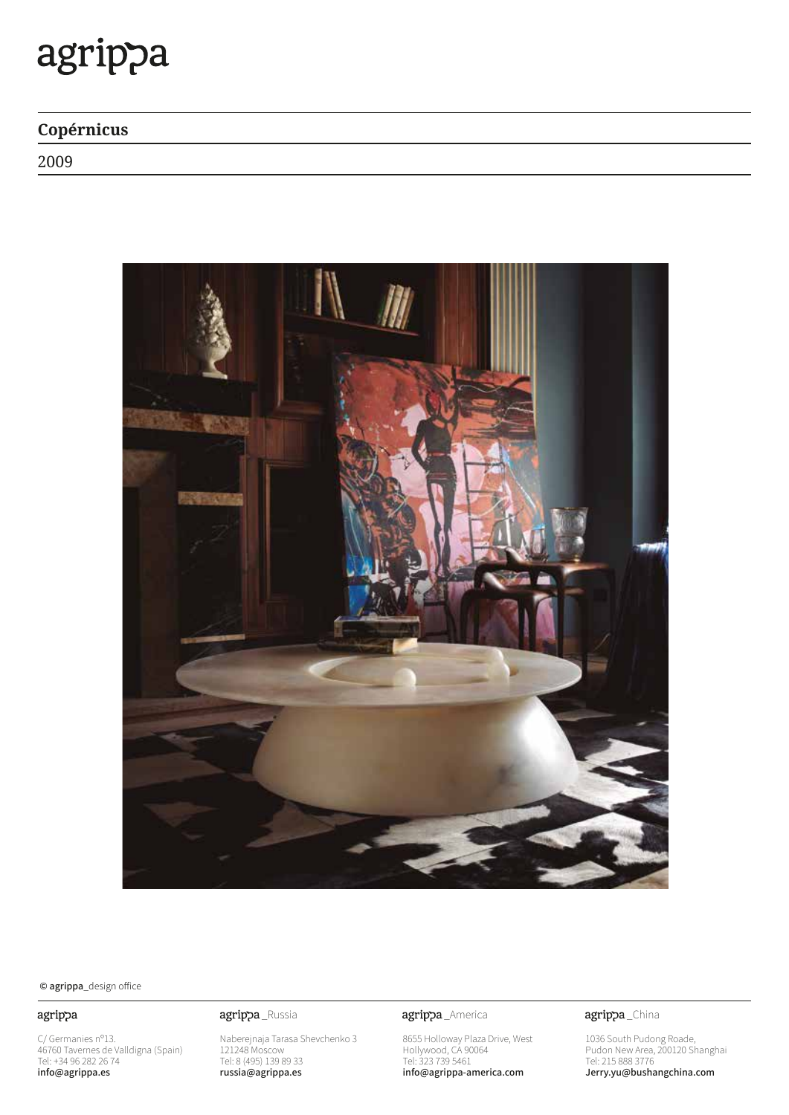# agrippa

### Copérnicus

2009



© agrippa\_design office

#### agrippa

C/ Germanies nº13.<br>46760 Tavernes de Valldigna (Spain)<br>Tel: +34 96 282 26 74 info@agrippa.es

#### agrippa\_Russia

Naberejnaja Tarasa Shevchenko 3<br>121248 Moscow<br>Tel: 8 (495) 139 89 33<br>**russia@agrippa.es** 

agrippa\_America

8655 Holloway Plaza Drive, West<br>Hollywood, CA 90064<br>Tel: 323 739 5461<br>**info@agrippa-america.com** 

agrippa\_China

1036 South Pudong Roade,<br>Pudon New Area, 200120 Shanghai<br>Tel: 215 888 3776<br>**Jerry.yu@bushangchina.com**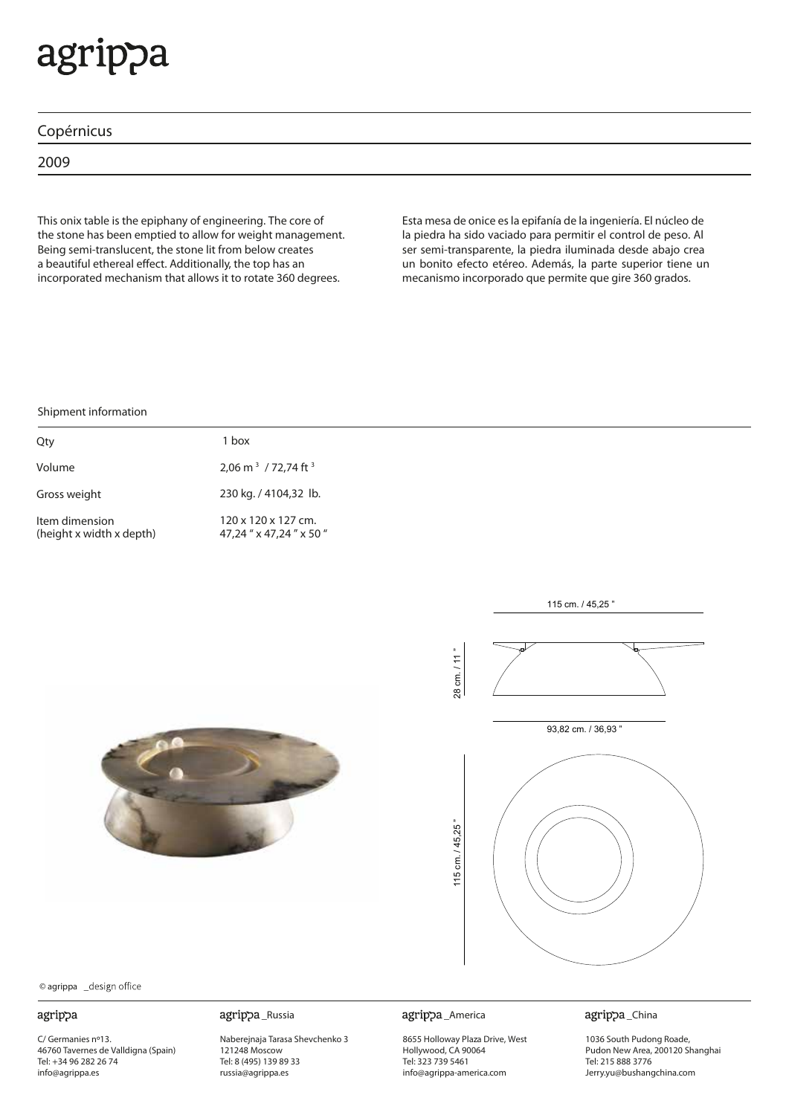# agrippa

|  | Copérnicus |
|--|------------|
|  |            |
|  |            |

2009

This onix table is the epiphany of engineering. The core of the stone has been emptied to allow for weight management. Being semi-translucent, the stone lit from below creates a beautiful ethereal effect. Additionally, the top has an incorporated mechanism that allows it to rotate 360 degrees.

Esta mesa de onice esla epifanía de la ingeniería. El núcleo de la piedra ha sido vaciado para permitir el control de peso. Al ser semi-transparente, la piedra iluminada desde abajo crea un bonito efecto etéreo. Además, la parte superior tiene un mecanismo incorporado que permite que gire 360 grados.

#### Shipment information

| Qty                                        | 1 hox                                                       |
|--------------------------------------------|-------------------------------------------------------------|
| Volume                                     | 2,06 m <sup>3</sup> / 72,74 ft <sup>3</sup>                 |
| Gross weight                               | 230 kg. / 4104,32 lb.                                       |
| Item dimension<br>(height x width x depth) | $120 \times 120 \times 127$ cm.<br>47.24 " x 47.24 " x 50 " |





© agrippa

#### agrippa

C/ Germanies nº13. 46760 Tavernes de Valldigna (Spain) Tel: +34 96 282 26 74 info@agrippa.es

Naberejnaja Tarasa Shevchenko 3 121248 Moscow Tel: 8 (495) 139 89 33 russia@agrippa.es

agrippa\_Russia agrippa\_America

8655 Holloway Plaza Drive, West Hollywood, CA 90064 Tel: 323 739 5461 info@agrippa-america.com

agrippa\_China

1036 South Pudong Roade, Pudon New Area, 200120 Shanghai Tel: 215 888 3776 Jerry.yu@bushangchina.com